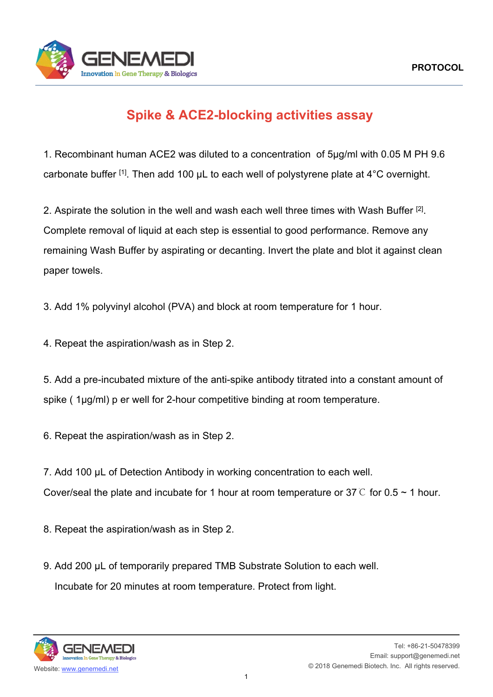

## **Spike & ACE2-blocking activities assay**

1. Recombinant human ACE2 was diluted to a concentration of 5μg/ml with 0.05 M PH 9.6 carbonate buffer [1]. Then add 100 μL to each well of polystyrene plate at 4°C overnight.

2. Aspirate the solution in the well and wash each well three times with Wash Buffer <sup>[2]</sup>. Complete removal of liquid at each step is essential to good performance. Remove any remaining Wash Buffer by aspirating or decanting. Invert the plate and blot it against clean paper towels.

3. Add 1% polyvinyl alcohol (PVA) and block at room temperature for 1 hour.

4. Repeat the aspiration/wash as in Step 2.

5. Add a pre-incubated mixture of the anti-spike antibody titrated into a constant amount of spike ( 1μg/ml) p er well for 2-hour competitive binding at room temperature.

6. Repeat the aspiration/wash as in Step 2.

7. Add 100 μL of Detection Antibody in working concentration to each well. Cover/seal the plate and incubate for 1 hour at room temperature or 37  $\degree$  for 0.5 ~ 1 hour.

8. Repeat the aspiration/wash as in Step 2.

9. Add 200 μL of temporarily prepared TMB Substrate Solution to each well. Incubate for 20 minutes at room temperature. Protect from light.